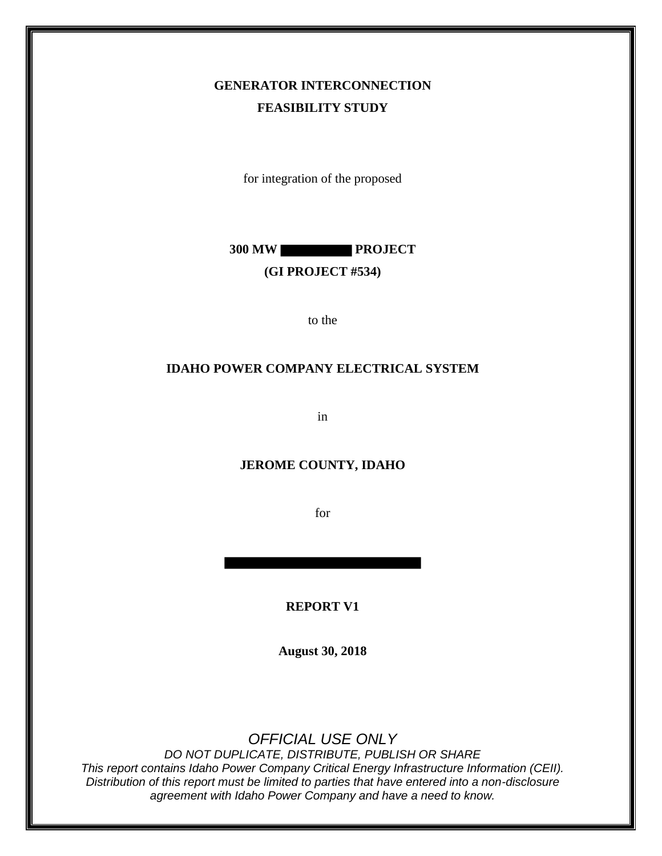## **GENERATOR INTERCONNECTION FEASIBILITY STUDY**

for integration of the proposed

**300 MW PROJECT**

#### **(GI PROJECT #534)**

to the

#### **IDAHO POWER COMPANY ELECTRICAL SYSTEM**

in

#### **JEROME COUNTY, IDAHO**

for

**REPORT V1**

**August 30, 2018**

*OFFICIAL USE ONLY*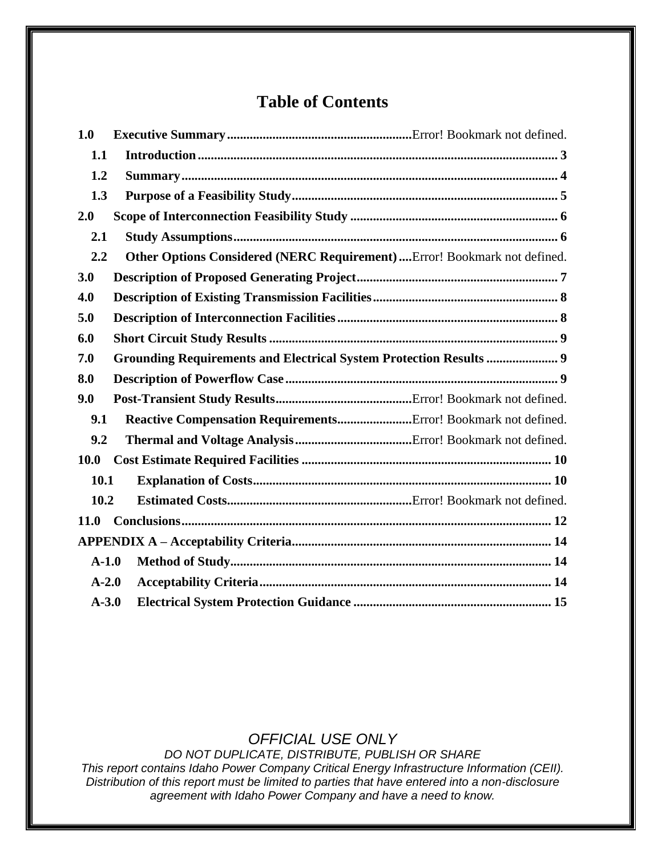## **Table of Contents**

| 1.0         |                                                                           |  |  |  |
|-------------|---------------------------------------------------------------------------|--|--|--|
| 1.1         |                                                                           |  |  |  |
| 1.2         |                                                                           |  |  |  |
| 1.3         |                                                                           |  |  |  |
| 2.0         |                                                                           |  |  |  |
| 2.1         |                                                                           |  |  |  |
| 2.2         | Other Options Considered (NERC Requirement)  Error! Bookmark not defined. |  |  |  |
| 3.0         |                                                                           |  |  |  |
| 4.0         |                                                                           |  |  |  |
| 5.0         |                                                                           |  |  |  |
| 6.0         |                                                                           |  |  |  |
| 7.0         | <b>Grounding Requirements and Electrical System Protection Results  9</b> |  |  |  |
| 8.0         |                                                                           |  |  |  |
| 9.0         |                                                                           |  |  |  |
| 9.1         | Reactive Compensation RequirementsError! Bookmark not defined.            |  |  |  |
| 9.2         |                                                                           |  |  |  |
| <b>10.0</b> |                                                                           |  |  |  |
| 10.1        |                                                                           |  |  |  |
| 10.2        |                                                                           |  |  |  |
| 11.0        |                                                                           |  |  |  |
|             |                                                                           |  |  |  |
| $A-1.0$     |                                                                           |  |  |  |
| $A-2.0$     |                                                                           |  |  |  |
| $A-3.0$     |                                                                           |  |  |  |

### *OFFICIAL USE ONLY*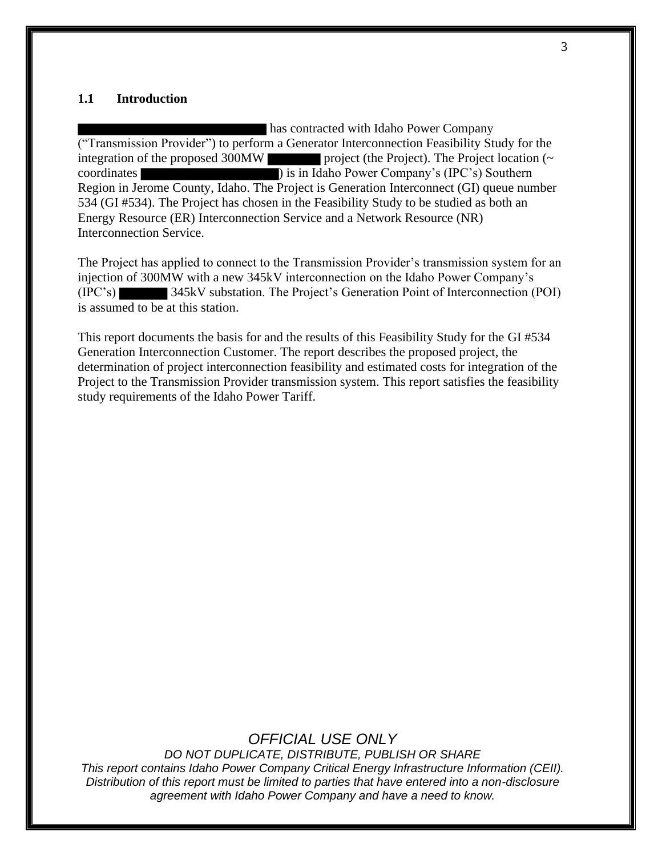#### **1.1 Introduction**

has contracted with Idaho Power Company ("Transmission Provider") to perform a Generator Interconnection Feasibility Study for the integration of the proposed 300MW project (the Project). The Project location  $(\sim$ coordinates ) is in Idaho Power Company's (IPC's) Southern Region in Jerome County, Idaho. The Project is Generation Interconnect (GI) queue number 534 (GI #534). The Project has chosen in the Feasibility Study to be studied as both an Energy Resource (ER) Interconnection Service and a Network Resource (NR) Interconnection Service.

The Project has applied to connect to the Transmission Provider's transmission system for an injection of 300MW with a new 345kV interconnection on the Idaho Power Company's (IPC's) 345kV substation. The Project's Generation Point of Interconnection (POI) is assumed to be at this station.

This report documents the basis for and the results of this Feasibility Study for the GI #534 Generation Interconnection Customer. The report describes the proposed project, the determination of project interconnection feasibility and estimated costs for integration of the Project to the Transmission Provider transmission system. This report satisfies the feasibility study requirements of the Idaho Power Tariff.

#### *OFFICIAL USE ONLY*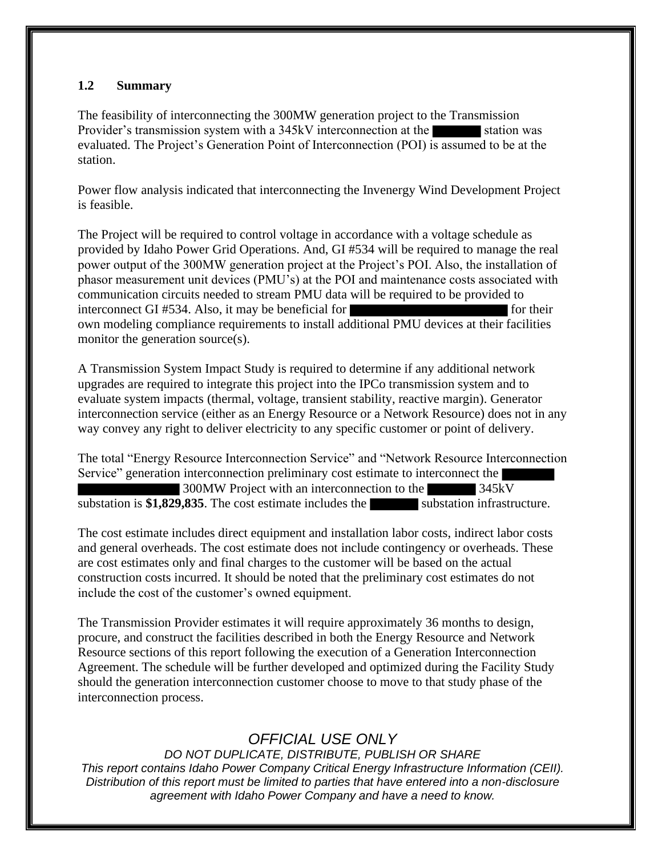#### **1.2 Summary**

The feasibility of interconnecting the 300MW generation project to the Transmission Provider's transmission system with a 345kV interconnection at the station was evaluated. The Project's Generation Point of Interconnection (POI) is assumed to be at the station.

Power flow analysis indicated that interconnecting the Invenergy Wind Development Project is feasible.

The Project will be required to control voltage in accordance with a voltage schedule as provided by Idaho Power Grid Operations. And, GI #534 will be required to manage the real power output of the 300MW generation project at the Project's POI. Also, the installation of phasor measurement unit devices (PMU's) at the POI and maintenance costs associated with communication circuits needed to stream PMU data will be required to be provided to interconnect GI #534. Also, it may be beneficial for form for their own modeling compliance requirements to install additional PMU devices at their facilities monitor the generation source(s).

A Transmission System Impact Study is required to determine if any additional network upgrades are required to integrate this project into the IPCo transmission system and to evaluate system impacts (thermal, voltage, transient stability, reactive margin). Generator interconnection service (either as an Energy Resource or a Network Resource) does not in any way convey any right to deliver electricity to any specific customer or point of delivery.

The total "Energy Resource Interconnection Service" and "Network Resource Interconnection Service" generation interconnection preliminary cost estimate to interconnect the 300MW Project with an interconnection to the 345kV substation is \$1,829,835. The cost estimate includes the substation infrastructure.

The cost estimate includes direct equipment and installation labor costs, indirect labor costs and general overheads. The cost estimate does not include contingency or overheads. These are cost estimates only and final charges to the customer will be based on the actual construction costs incurred. It should be noted that the preliminary cost estimates do not include the cost of the customer's owned equipment.

The Transmission Provider estimates it will require approximately 36 months to design, procure, and construct the facilities described in both the Energy Resource and Network Resource sections of this report following the execution of a Generation Interconnection Agreement. The schedule will be further developed and optimized during the Facility Study should the generation interconnection customer choose to move to that study phase of the interconnection process.

## *OFFICIAL USE ONLY*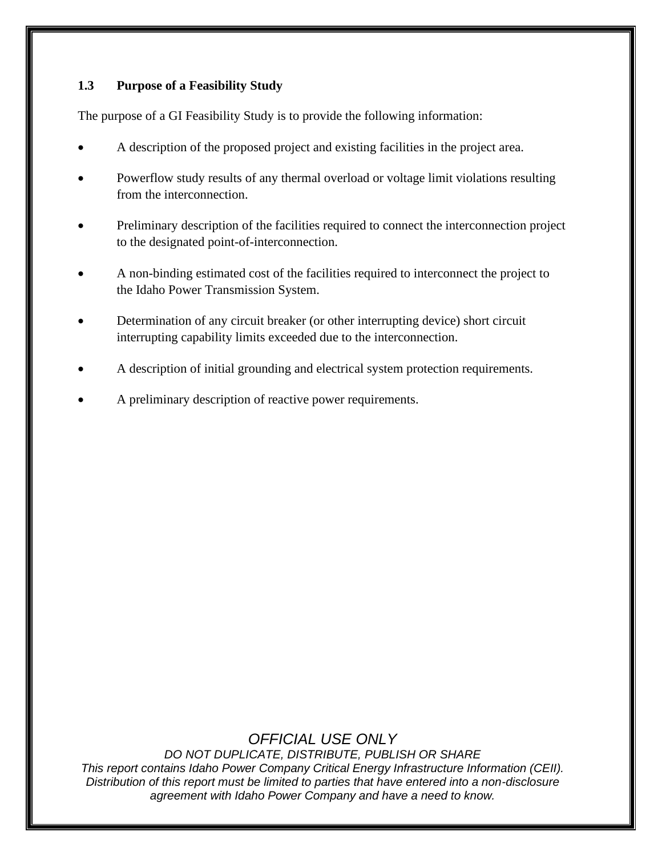#### **1.3 Purpose of a Feasibility Study**

The purpose of a GI Feasibility Study is to provide the following information:

- A description of the proposed project and existing facilities in the project area.
- Powerflow study results of any thermal overload or voltage limit violations resulting from the interconnection.
- Preliminary description of the facilities required to connect the interconnection project to the designated point-of-interconnection.
- A non-binding estimated cost of the facilities required to interconnect the project to the Idaho Power Transmission System.
- Determination of any circuit breaker (or other interrupting device) short circuit interrupting capability limits exceeded due to the interconnection.
- A description of initial grounding and electrical system protection requirements.
- A preliminary description of reactive power requirements.

## *OFFICIAL USE ONLY*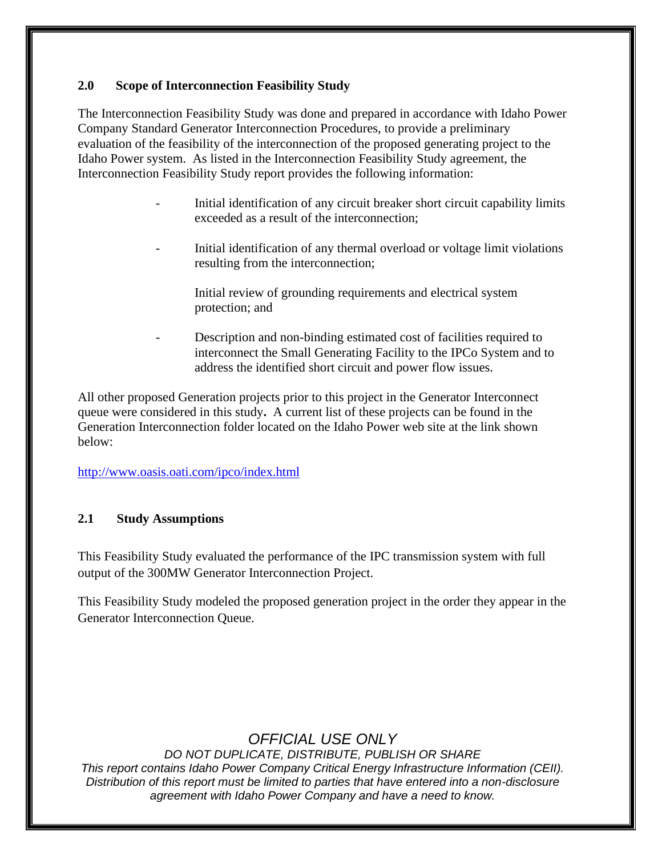#### **2.0 Scope of Interconnection Feasibility Study**

The Interconnection Feasibility Study was done and prepared in accordance with Idaho Power Company Standard Generator Interconnection Procedures, to provide a preliminary evaluation of the feasibility of the interconnection of the proposed generating project to the Idaho Power system. As listed in the Interconnection Feasibility Study agreement, the Interconnection Feasibility Study report provides the following information:

- Initial identification of any circuit breaker short circuit capability limits exceeded as a result of the interconnection;
- Initial identification of any thermal overload or voltage limit violations resulting from the interconnection;

Initial review of grounding requirements and electrical system protection; and

Description and non-binding estimated cost of facilities required to interconnect the Small Generating Facility to the IPCo System and to address the identified short circuit and power flow issues.

All other proposed Generation projects prior to this project in the Generator Interconnect queue were considered in this study**.** A current list of these projects can be found in the Generation Interconnection folder located on the Idaho Power web site at the link shown below:

<http://www.oasis.oati.com/ipco/index.html>

#### **2.1 Study Assumptions**

This Feasibility Study evaluated the performance of the IPC transmission system with full output of the 300MW Generator Interconnection Project.

This Feasibility Study modeled the proposed generation project in the order they appear in the Generator Interconnection Queue.

### *OFFICIAL USE ONLY*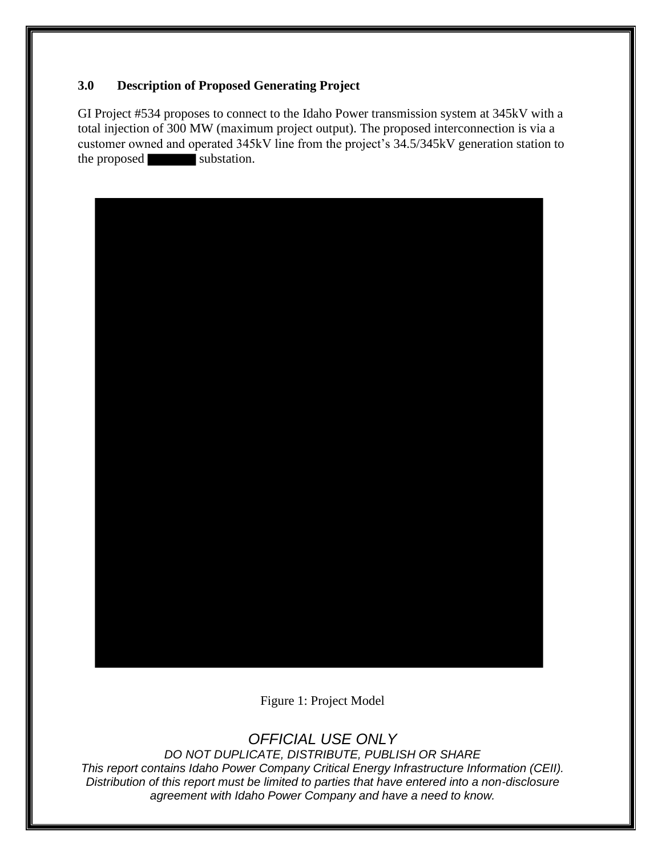#### **3.0 Description of Proposed Generating Project**

GI Project #534 proposes to connect to the Idaho Power transmission system at 345kV with a total injection of 300 MW (maximum project output). The proposed interconnection is via a customer owned and operated 345kV line from the project's 34.5/345kV generation station to the proposed substation.



Figure 1: Project Model

## *OFFICIAL USE ONLY*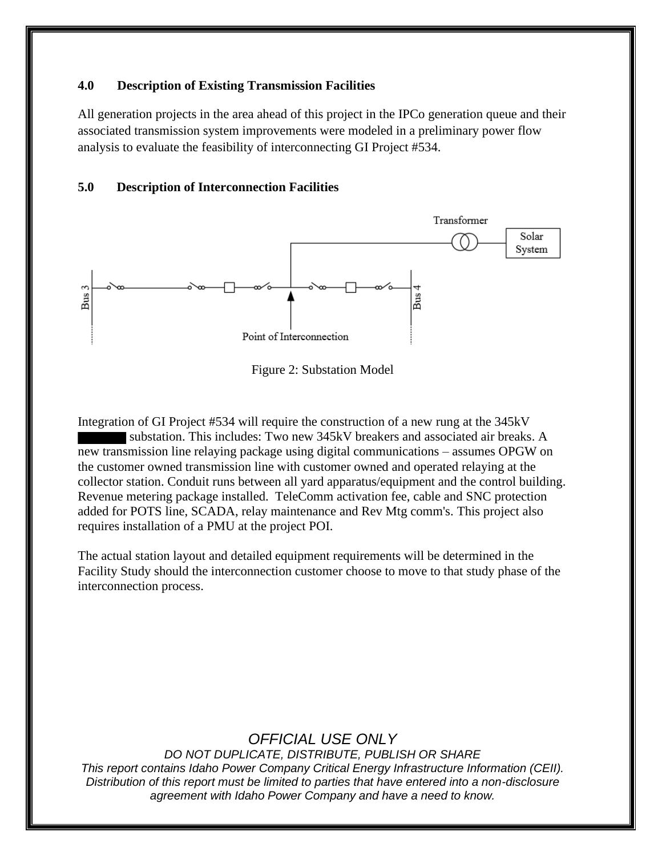#### **4.0 Description of Existing Transmission Facilities**

All generation projects in the area ahead of this project in the IPCo generation queue and their associated transmission system improvements were modeled in a preliminary power flow analysis to evaluate the feasibility of interconnecting GI Project #534.

#### **5.0 Description of Interconnection Facilities**



Figure 2: Substation Model

Integration of GI Project #534 will require the construction of a new rung at the 345kV substation. This includes: Two new 345kV breakers and associated air breaks. A new transmission line relaying package using digital communications – assumes OPGW on the customer owned transmission line with customer owned and operated relaying at the collector station. Conduit runs between all yard apparatus/equipment and the control building. Revenue metering package installed. TeleComm activation fee, cable and SNC protection added for POTS line, SCADA, relay maintenance and Rev Mtg comm's. This project also requires installation of a PMU at the project POI.

The actual station layout and detailed equipment requirements will be determined in the Facility Study should the interconnection customer choose to move to that study phase of the interconnection process.

### *OFFICIAL USE ONLY*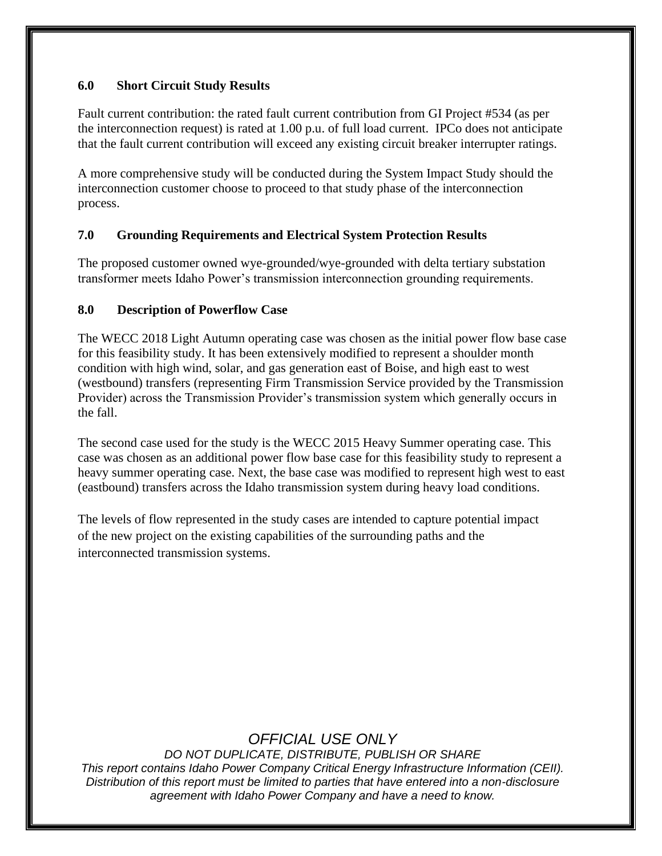#### **6.0 Short Circuit Study Results**

Fault current contribution: the rated fault current contribution from GI Project #534 (as per the interconnection request) is rated at 1.00 p.u. of full load current. IPCo does not anticipate that the fault current contribution will exceed any existing circuit breaker interrupter ratings.

A more comprehensive study will be conducted during the System Impact Study should the interconnection customer choose to proceed to that study phase of the interconnection process.

#### **7.0 Grounding Requirements and Electrical System Protection Results**

The proposed customer owned wye-grounded/wye-grounded with delta tertiary substation transformer meets Idaho Power's transmission interconnection grounding requirements.

#### **8.0 Description of Powerflow Case**

The WECC 2018 Light Autumn operating case was chosen as the initial power flow base case for this feasibility study. It has been extensively modified to represent a shoulder month condition with high wind, solar, and gas generation east of Boise, and high east to west (westbound) transfers (representing Firm Transmission Service provided by the Transmission Provider) across the Transmission Provider's transmission system which generally occurs in the fall.

The second case used for the study is the WECC 2015 Heavy Summer operating case. This case was chosen as an additional power flow base case for this feasibility study to represent a heavy summer operating case. Next, the base case was modified to represent high west to east (eastbound) transfers across the Idaho transmission system during heavy load conditions.

The levels of flow represented in the study cases are intended to capture potential impact of the new project on the existing capabilities of the surrounding paths and the interconnected transmission systems.

## *OFFICIAL USE ONLY*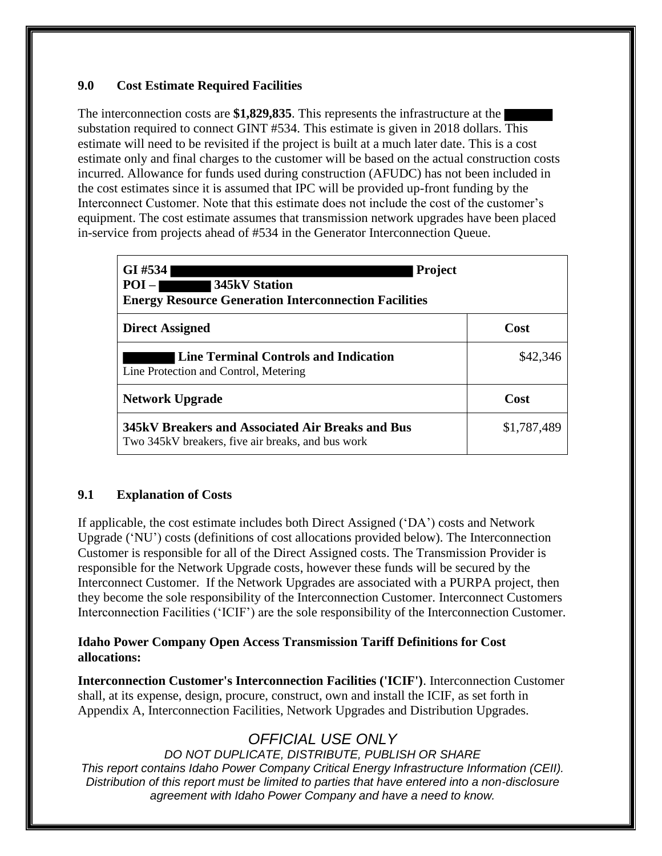#### **9.0 Cost Estimate Required Facilities**

The interconnection costs are **\$1,829,835**. This represents the infrastructure at the substation required to connect GINT #534. This estimate is given in 2018 dollars. This estimate will need to be revisited if the project is built at a much later date. This is a cost estimate only and final charges to the customer will be based on the actual construction costs incurred. Allowance for funds used during construction (AFUDC) has not been included in the cost estimates since it is assumed that IPC will be provided up-front funding by the Interconnect Customer. Note that this estimate does not include the cost of the customer's equipment. The cost estimate assumes that transmission network upgrades have been placed in-service from projects ahead of #534 in the Generator Interconnection Queue.

| GI #534<br><b>Project</b><br>$POI -$<br>345kV Station<br><b>Energy Resource Generation Interconnection Facilities</b> |             |  |  |  |
|-----------------------------------------------------------------------------------------------------------------------|-------------|--|--|--|
| <b>Direct Assigned</b>                                                                                                | Cost        |  |  |  |
| Line Terminal Controls and Indication<br>Line Protection and Control, Metering                                        | \$42,346    |  |  |  |
| <b>Network Upgrade</b>                                                                                                | Cost        |  |  |  |
| 345kV Breakers and Associated Air Breaks and Bus<br>Two 345kV breakers, five air breaks, and bus work                 | \$1,787,489 |  |  |  |

#### **9.1 Explanation of Costs**

If applicable, the cost estimate includes both Direct Assigned ('DA') costs and Network Upgrade ('NU') costs (definitions of cost allocations provided below). The Interconnection Customer is responsible for all of the Direct Assigned costs. The Transmission Provider is responsible for the Network Upgrade costs, however these funds will be secured by the Interconnect Customer. If the Network Upgrades are associated with a PURPA project, then they become the sole responsibility of the Interconnection Customer. Interconnect Customers Interconnection Facilities ('ICIF') are the sole responsibility of the Interconnection Customer.

#### **Idaho Power Company Open Access Transmission Tariff Definitions for Cost allocations:**

**Interconnection Customer's Interconnection Facilities ('ICIF')**. Interconnection Customer shall, at its expense, design, procure, construct, own and install the ICIF, as set forth in Appendix A, Interconnection Facilities, Network Upgrades and Distribution Upgrades.

## *OFFICIAL USE ONLY*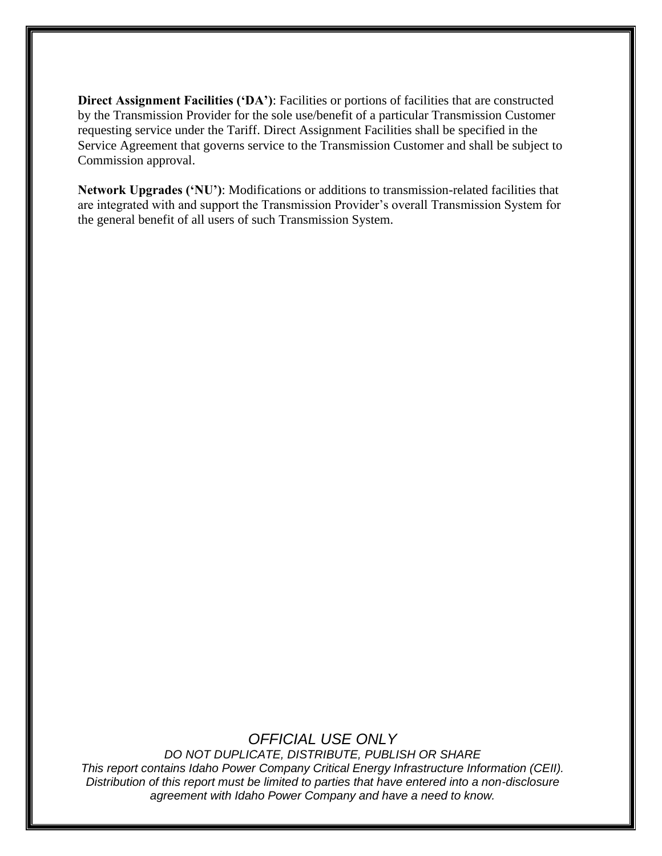**Direct Assignment Facilities ('DA')**: Facilities or portions of facilities that are constructed by the Transmission Provider for the sole use/benefit of a particular Transmission Customer requesting service under the Tariff. Direct Assignment Facilities shall be specified in the Service Agreement that governs service to the Transmission Customer and shall be subject to Commission approval.

**Network Upgrades ('NU')**: Modifications or additions to transmission-related facilities that are integrated with and support the Transmission Provider's overall Transmission System for the general benefit of all users of such Transmission System.

### *OFFICIAL USE ONLY*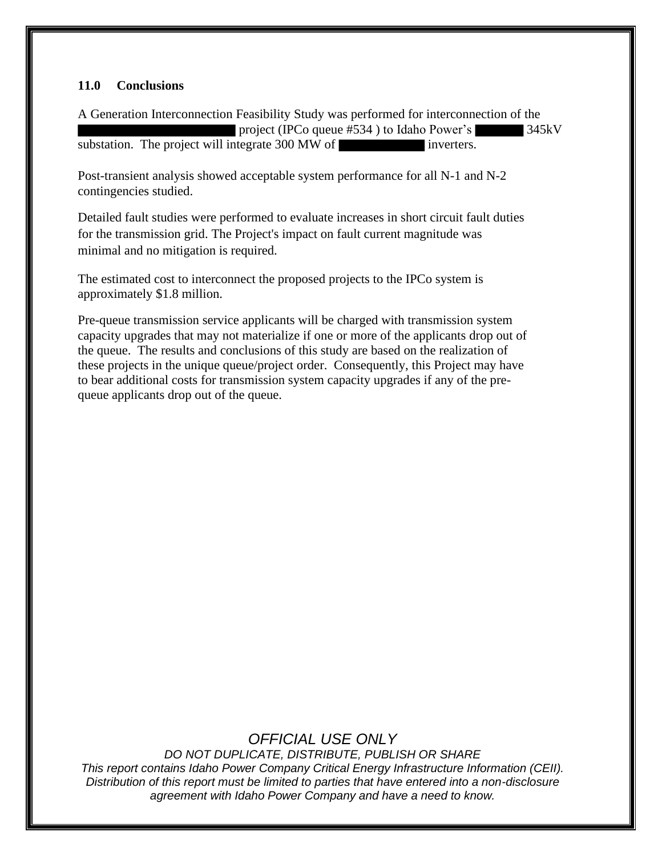#### **11.0 Conclusions**

A Generation Interconnection Feasibility Study was performed for interconnection of the project (IPCo queue #534 ) to Idaho Power's 345kV substation. The project will integrate 300 MW of inverters.

Post-transient analysis showed acceptable system performance for all N-1 and N-2 contingencies studied.

Detailed fault studies were performed to evaluate increases in short circuit fault duties for the transmission grid. The Project's impact on fault current magnitude was minimal and no mitigation is required.

The estimated cost to interconnect the proposed projects to the IPCo system is approximately \$1.8 million.

Pre-queue transmission service applicants will be charged with transmission system capacity upgrades that may not materialize if one or more of the applicants drop out of the queue. The results and conclusions of this study are based on the realization of these projects in the unique queue/project order. Consequently, this Project may have to bear additional costs for transmission system capacity upgrades if any of the prequeue applicants drop out of the queue.

## *OFFICIAL USE ONLY*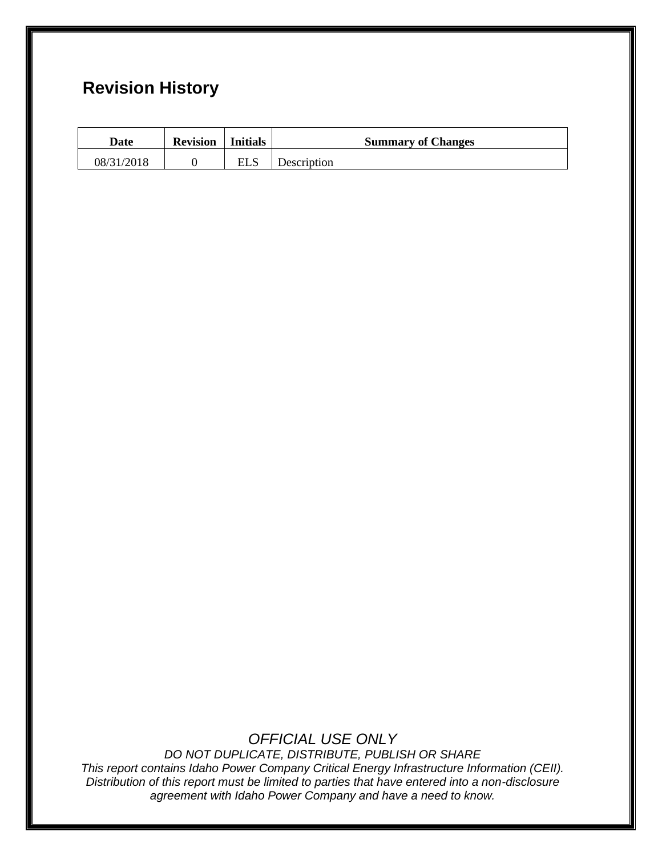# **Revision History**

| Date       | <b>Revision</b> | Initials | <b>Summary of Changes</b> |
|------------|-----------------|----------|---------------------------|
| 08/31/2018 |                 | ELS      | Description               |

### *OFFICIAL USE ONLY*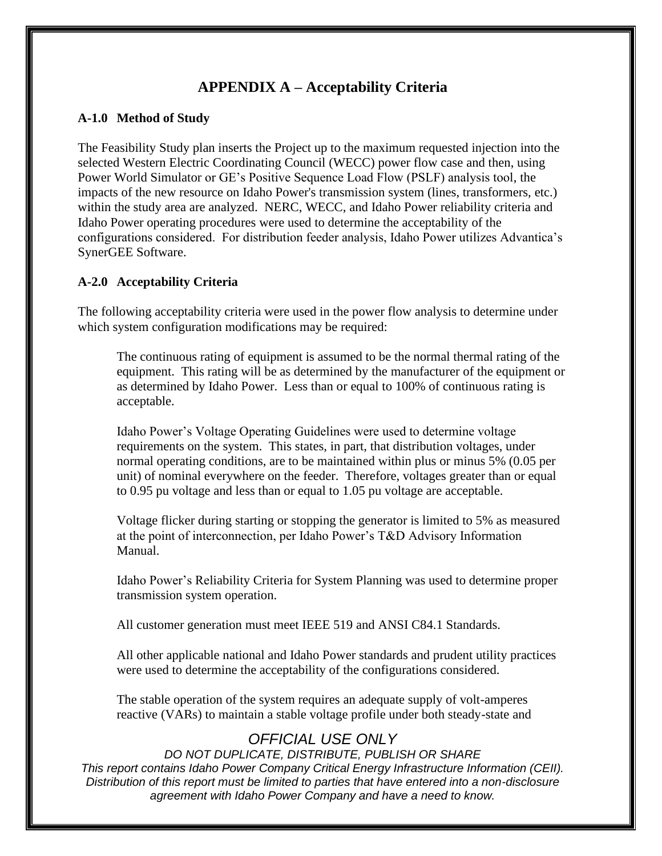### **APPENDIX A – Acceptability Criteria**

#### **A-1.0 Method of Study**

The Feasibility Study plan inserts the Project up to the maximum requested injection into the selected Western Electric Coordinating Council (WECC) power flow case and then, using Power World Simulator or GE's Positive Sequence Load Flow (PSLF) analysis tool, the impacts of the new resource on Idaho Power's transmission system (lines, transformers, etc.) within the study area are analyzed. NERC, WECC, and Idaho Power reliability criteria and Idaho Power operating procedures were used to determine the acceptability of the configurations considered. For distribution feeder analysis, Idaho Power utilizes Advantica's SynerGEE Software.

#### **A-2.0 Acceptability Criteria**

The following acceptability criteria were used in the power flow analysis to determine under which system configuration modifications may be required:

The continuous rating of equipment is assumed to be the normal thermal rating of the equipment. This rating will be as determined by the manufacturer of the equipment or as determined by Idaho Power. Less than or equal to 100% of continuous rating is acceptable.

Idaho Power's Voltage Operating Guidelines were used to determine voltage requirements on the system. This states, in part, that distribution voltages, under normal operating conditions, are to be maintained within plus or minus 5% (0.05 per unit) of nominal everywhere on the feeder. Therefore, voltages greater than or equal to 0.95 pu voltage and less than or equal to 1.05 pu voltage are acceptable.

Voltage flicker during starting or stopping the generator is limited to 5% as measured at the point of interconnection, per Idaho Power's T&D Advisory Information Manual.

Idaho Power's Reliability Criteria for System Planning was used to determine proper transmission system operation.

All customer generation must meet IEEE 519 and ANSI C84.1 Standards.

All other applicable national and Idaho Power standards and prudent utility practices were used to determine the acceptability of the configurations considered.

The stable operation of the system requires an adequate supply of volt-amperes reactive (VARs) to maintain a stable voltage profile under both steady-state and

## *OFFICIAL USE ONLY*